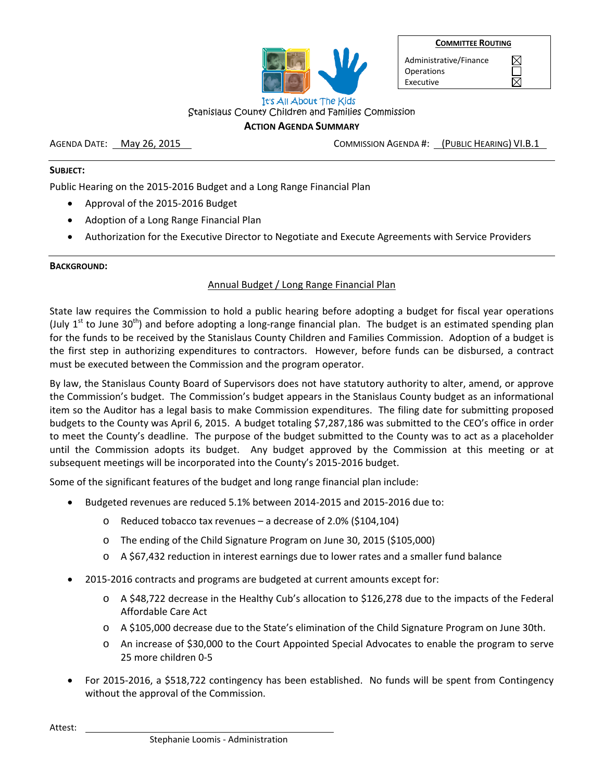

Administrative/Finance **Operations** Executive

 $\boxtimes$ П  $\nabla$ 

#### Stanislaus County Children and Families Commission **ACTION AGENDA SUMMARY**

AGENDA DATE: May 26, 2015 COMMISSION AGENDA #: (PUBLIC HEARING) VI.B.1

## **SUBJECT:**

Public Hearing on the 2015‐2016 Budget and a Long Range Financial Plan

- Approval of the 2015‐2016 Budget
- Adoption of a Long Range Financial Plan
- Authorization for the Executive Director to Negotiate and Execute Agreements with Service Providers

## **BACKGROUND:**

## Annual Budget / Long Range Financial Plan

State law requires the Commission to hold a public hearing before adopting a budget for fiscal year operations (July  $1^{st}$  to June 30<sup>th</sup>) and before adopting a long-range financial plan. The budget is an estimated spending plan for the funds to be received by the Stanislaus County Children and Families Commission. Adoption of a budget is the first step in authorizing expenditures to contractors. However, before funds can be disbursed, a contract must be executed between the Commission and the program operator.

By law, the Stanislaus County Board of Supervisors does not have statutory authority to alter, amend, or approve the Commission's budget. The Commission's budget appears in the Stanislaus County budget as an informational item so the Auditor has a legal basis to make Commission expenditures. The filing date for submitting proposed budgets to the County was April 6, 2015. A budget totaling \$7,287,186 was submitted to the CEO's office in order to meet the County's deadline. The purpose of the budget submitted to the County was to act as a placeholder until the Commission adopts its budget. Any budget approved by the Commission at this meeting or at subsequent meetings will be incorporated into the County's 2015-2016 budget.

Some of the significant features of the budget and long range financial plan include:

- Budgeted revenues are reduced 5.1% between 2014‐2015 and 2015‐2016 due to:
	- o Reduced tobacco tax revenues a decrease of 2.0% (\$104,104)
	- o The ending of the Child Signature Program on June 30, 2015 (\$105,000)
	- $\circ$  A \$67,432 reduction in interest earnings due to lower rates and a smaller fund balance
- 2015‐2016 contracts and programs are budgeted at current amounts except for:
	- o A \$48,722 decrease in the Healthy Cub's allocation to \$126,278 due to the impacts of the Federal Affordable Care Act
	- o A \$105,000 decrease due to the State's elimination of the Child Signature Program on June 30th.
	- o An increase of \$30,000 to the Court Appointed Special Advocates to enable the program to serve 25 more children 0‐5
- For 2015‐2016, a \$518,722 contingency has been established. No funds will be spent from Contingency without the approval of the Commission.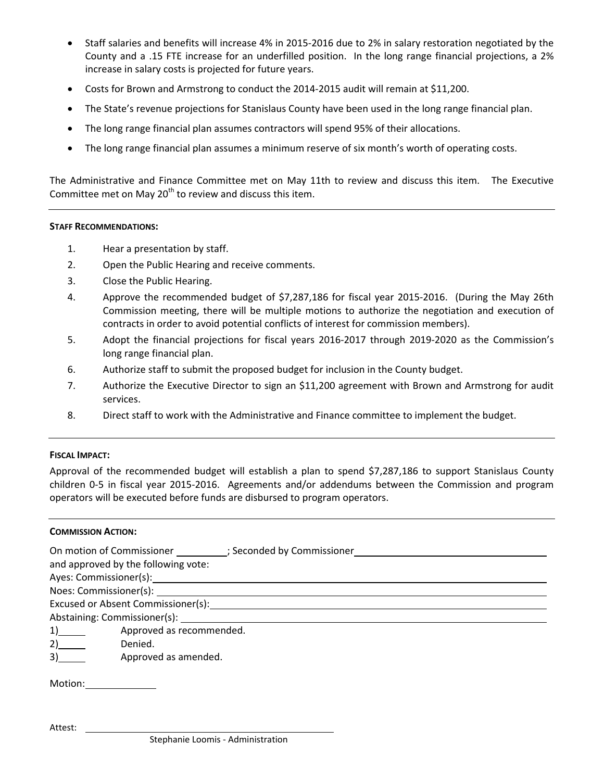- Staff salaries and benefits will increase 4% in 2015‐2016 due to 2% in salary restoration negotiated by the County and a .15 FTE increase for an underfilled position. In the long range financial projections, a 2% increase in salary costs is projected for future years.
- Costs for Brown and Armstrong to conduct the 2014‐2015 audit will remain at \$11,200.
- The State's revenue projections for Stanislaus County have been used in the long range financial plan.
- The long range financial plan assumes contractors will spend 95% of their allocations.
- The long range financial plan assumes a minimum reserve of six month's worth of operating costs.

The Administrative and Finance Committee met on May 11th to review and discuss this item. The Executive Committee met on May  $20<sup>th</sup>$  to review and discuss this item.

#### **STAFF RECOMMENDATIONS:**

- 1. Hear a presentation by staff.
- 2. Open the Public Hearing and receive comments.
- 3. Close the Public Hearing.
- 4. Approve the recommended budget of \$7,287,186 for fiscal year 2015-2016. (During the May 26th Commission meeting, there will be multiple motions to authorize the negotiation and execution of contracts in order to avoid potential conflicts of interest for commission members).
- 5. Adopt the financial projections for fiscal years 2016‐2017 through 2019‐2020 as the Commission's long range financial plan.
- 6. Authorize staff to submit the proposed budget for inclusion in the County budget.
- 7. Authorize the Executive Director to sign an \$11,200 agreement with Brown and Armstrong for audit services.
- 8. Direct staff to work with the Administrative and Finance committee to implement the budget.

## **FISCAL IMPACT:**

Approval of the recommended budget will establish a plan to spend \$7,287,186 to support Stanislaus County children 0‐5 in fiscal year 2015‐2016. Agreements and/or addendums between the Commission and program operators will be executed before funds are disbursed to program operators.

## **COMMISSION ACTION:**

| On motion of Commissioner (3) Seconded by Commissioner<br>and approved by the following vote:                                                                                                                                  |
|--------------------------------------------------------------------------------------------------------------------------------------------------------------------------------------------------------------------------------|
| Ayes: Commissioner(s): Note and the set of the set of the set of the set of the set of the set of the set of the set of the set of the set of the set of the set of the set of the set of the set of the set of the set of the |
|                                                                                                                                                                                                                                |
| Excused or Absent Commissioner(s): North Management Commissioner (s):                                                                                                                                                          |
|                                                                                                                                                                                                                                |
| Approved as recommended.<br>$1)$ and $2$                                                                                                                                                                                       |
| 2)<br>Denied.                                                                                                                                                                                                                  |
| 3)<br>Approved as amended.                                                                                                                                                                                                     |
| Motion:                                                                                                                                                                                                                        |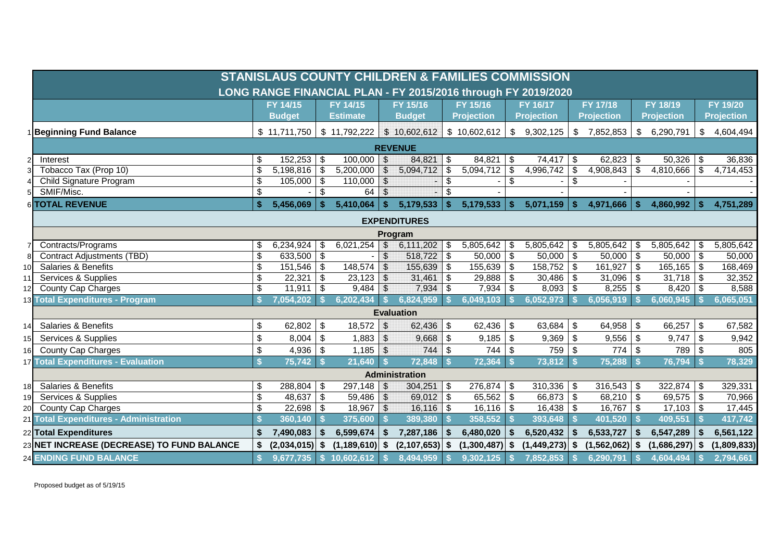|    | <b>STANISLAUS COUNTY CHILDREN &amp; FAMILIES COMMISSION</b>   |                           |                       |         |                    |                          |                       |                           |                   |                           |                   |                         |                   |      |                   |                           |                   |
|----|---------------------------------------------------------------|---------------------------|-----------------------|---------|--------------------|--------------------------|-----------------------|---------------------------|-------------------|---------------------------|-------------------|-------------------------|-------------------|------|-------------------|---------------------------|-------------------|
|    | LONG RANGE FINANCIAL PLAN - FY 2015/2016 through FY 2019/2020 |                           |                       |         |                    |                          |                       |                           |                   |                           |                   |                         |                   |      |                   |                           |                   |
|    |                                                               |                           | FY 14/15              |         | FY 14/15           |                          | FY 15/16              |                           | FY 15/16          |                           | FY 16/17          |                         | FY 17/18          |      | FY 18/19          |                           | FY 19/20          |
|    |                                                               |                           | <b>Budget</b>         |         | <b>Estimate</b>    |                          | <b>Budget</b>         |                           | <b>Projection</b> |                           | <b>Projection</b> |                         | <b>Projection</b> |      | <b>Projection</b> |                           | <b>Projection</b> |
|    | <b>Beginning Fund Balance</b>                                 |                           | \$11,711,750          |         | \$11,792,222       |                          | \$10,602,612          |                           | \$10,602,612      | \$                        | 9,302,125         |                         | \$7,852,853       | -\$  | 6,290,791         | \$                        | 4,604,494         |
|    | <b>REVENUE</b>                                                |                           |                       |         |                    |                          |                       |                           |                   |                           |                   |                         |                   |      |                   |                           |                   |
|    | Interest                                                      | \$                        | $152,253$ \$          |         | $100,000$ \$       |                          | 84,821                | \$                        | $84,821$ \$       |                           | $74,417$ \$       |                         | $62,823$ \$       |      | $50,326$ \$       |                           | 36,836            |
|    | Tobacco Tax (Prop 10)                                         | \$                        | $5,198,816$ \$        |         | 5,200,000          | $\overline{\mathcal{S}}$ | 5,094,712             | \$                        | 5,094,712         | $\boldsymbol{\mathsf{S}}$ | 4,996,742         | \$                      | 4,908,843         | -\$  | 4,810,666         | $\mathfrak{S}$            | 4,714,453         |
|    | Child Signature Program                                       | \$                        |                       |         | $110,000$ \$       |                          |                       | \$                        |                   | \$                        |                   | \$                      |                   |      |                   |                           |                   |
|    | SMIF/Misc.                                                    | \$                        |                       | $-1$ \$ | $64$ \$            |                          |                       | \$                        |                   |                           |                   |                         |                   |      |                   |                           |                   |
|    | 6 TOTAL REVENUE                                               | $\mathbf{s}$              | 5,456,069             | -\$     | 5,410,064          | \$                       | 5,179,533             | <b>S</b>                  | 5,179,533         | <b>S</b>                  | 5,071,159         | $\mathbf{\$}$           | 4,971,666         | - \$ | 4,860,992         | \$.                       | 4,751,289         |
|    | <b>EXPENDITURES</b>                                           |                           |                       |         |                    |                          |                       |                           |                   |                           |                   |                         |                   |      |                   |                           |                   |
|    | Program                                                       |                           |                       |         |                    |                          |                       |                           |                   |                           |                   |                         |                   |      |                   |                           |                   |
|    | Contracts/Programs                                            | \$                        | 6,234,924 \ \$        |         | 6,021,254          | $\sqrt{3}$               | 6,111,202             | \$                        | 5,805,642         | -\$                       | 5,805,642         | -\$                     | $5,805,642$ \$    |      | 5,805,642         | \$                        | 5,805,642         |
|    | <b>Contract Adjustments (TBD)</b>                             | \$                        | 633,500 $\frac{1}{3}$ |         |                    | $\mathcal{S}$            | $518,722$ \$          |                           | $50,000$ \$       |                           | $50,000$ \ \$     |                         | $50,000$ \ \$     |      | 50,000            | \$                        | 50,000            |
| 10 | <b>Salaries &amp; Benefits</b>                                | \$                        | $151,546$ \$          |         | 148,574            | $\sqrt{2}$               | $155,639$ \$          |                           | 155,639           | \$                        | 158,752           | $\vert$ \$              | $161,927$ \$      |      | 165,165           | \$                        | 168,469           |
| 11 | Services & Supplies                                           | \$                        | $22,321$ \$           |         | 23,123             | $\vert$ \$               | 31,461                | \$                        | 29,888            | $\boldsymbol{\mathsf{S}}$ | $30,486$ \$       |                         | $31,096$ \$       |      | 31,718            | $\sqrt[6]{2}$             | 32,352            |
| 12 | <b>County Cap Charges</b>                                     | \$                        | $11,911$ \$           |         | $9,484$ \$         |                          | 7,934                 | $\sqrt[6]{3}$             | $7,934$ \$        |                           | $8,093$ \$        |                         | $8,255$ \$        |      | 8,420             | \$                        | 8,588             |
|    | 13 Total Expenditures - Program                               |                           | 7,054,202             |         | 6,202,434          | <b>S</b>                 | 6,824,959             |                           | 6,049,103         |                           | 6,052,973         |                         | 6,056,919         |      | 6,060,945         |                           | 6,065,051         |
|    |                                                               |                           |                       |         |                    |                          | <b>Evaluation</b>     |                           |                   |                           |                   |                         |                   |      |                   |                           |                   |
| 14 | <b>Salaries &amp; Benefits</b>                                | \$                        | 62,802 \$             |         | $18,572$ \$        |                          | 62,436                | $\boldsymbol{\mathsf{S}}$ | 62,436            | $\frac{1}{2}$             | 63,684            | $\sqrt[6]{\frac{1}{2}}$ | $64,958$ \$       |      | 66,257            | $\boldsymbol{\mathsf{S}}$ | 67,582            |
| 15 | Services & Supplies                                           | \$                        | $8,004$ \$            |         | $1,883$ \$         |                          |                       |                           | $9,185$ \$        |                           | $9,369$ \$        |                         | $9,556$ \ \$      |      | 9,747             | $\mathfrak{s}$            | 9,942             |
| 16 | County Cap Charges                                            | $\boldsymbol{\mathsf{S}}$ | $4,936$ \$            |         | $1,185$ \$         |                          | 744                   | \$                        | $744$ \\$         |                           | 759 \$            |                         | $774$ \\$         |      | 789               | $\mathfrak{s}$            | 805               |
|    | <b>17 Total Expenditures - Evaluation</b>                     | $\mathbf{s}$              | $75,742$ \$           |         | $21,640$ \$        |                          | 72,848                | $\mathsf{I}$ s            | $72,364$ \$       |                           | $73,812$ \$       |                         | $75,288$ \$       |      | 76,794            | $\mathbf{s}$              | 78,329            |
|    |                                                               |                           |                       |         |                    |                          | <b>Administration</b> |                           |                   |                           |                   |                         |                   |      |                   |                           |                   |
| 18 | Salaries & Benefits                                           | \$                        | $288,804$ \$          |         | 297,148            | \$                       | 304,251               | $\sqrt[6]{3}$             | $276,874$ \$      |                           | $310,336$ \$      |                         | $316,543$ \$      |      | $322,874$ \$      |                           | 329,331           |
| 19 | Services & Supplies                                           | \$                        | $48,637$ \$           |         | 59,486             | $\sqrt{3}$               | $69,012$ \$           |                           | $65,562$ \$       |                           | $66,873$ \$       |                         | $68,210$ \$       |      | $69,575$ \$       |                           | 70,966            |
| 20 | <b>County Cap Charges</b>                                     | \$                        | $22,698$ \$           |         | $18,967$ \$        |                          | $16, 116$ \$          |                           | $16,116$ \$       |                           | $16,438$ \$       |                         | $16,767$ \$       |      | $17,103$ \$       |                           | 17,445            |
|    | 21 Total Expenditures - Administration                        |                           | 360,140               | - \$    | 375,600            | S.                       | 389,380               |                           | 358,552           |                           | 393,648           | - \$                    | 401,520           | - \$ | 409,551           | - \$                      | 417,742           |
|    | 22 Total Expenditures                                         | \$                        | 7,490,083             | \$      | 6,599,674          | \$                       | 7,287,186             | Ŝ.                        | 6,480,020         | \$                        | 6,520,432         | \$                      | 6,533,727         | -\$  | 6,547,289         | \$                        | 6,561,122         |
|    | 23 NET INCREASE (DECREASE) TO FUND BALANCE                    | \$                        | $(2,034,015)$ \$      |         | $(1, 189, 610)$ \$ |                          | $(2,107,653)$ \$      |                           | $(1,300,487)$ \$  |                           | (1,449,273)       | Ŝ.                      | $(1,562,062)$ \$  |      | (1,686,297)       | \$                        | (1,809,833)       |
|    | <b>24 ENDING FUND BALANCE</b>                                 | S.                        | 9,677,735             | S.      | 10,602,612         |                          | 8,494,959             |                           | 9,302,125         |                           | 7,852,853         |                         | 6,290,791         |      | 4,604,494         |                           | 2,794,661         |

Proposed budget as of 5/19/15